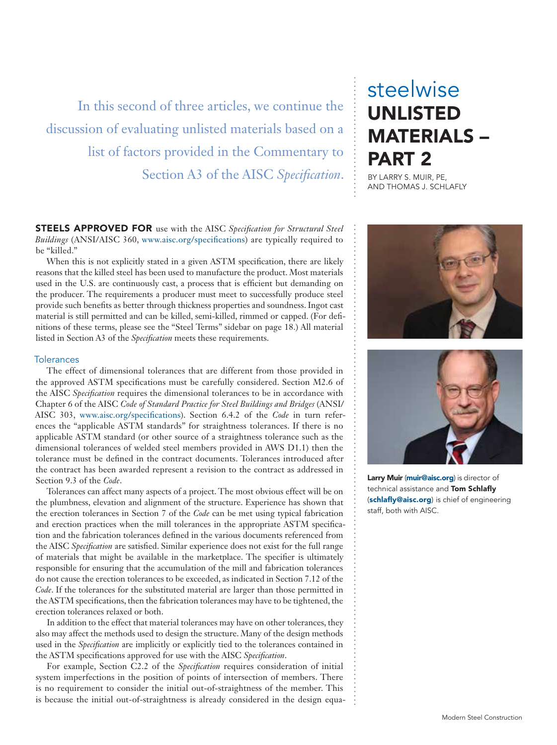In this second of three articles, we continue the discussion of evaluating unlisted materials based on a list of factors provided in the Commentary to Section A3 of the AISC *Specification*.

STEELS APPROVED FOR use with the AISC *Specification for Structural Steel Buildings* (ANSI/AISC 360, www.aisc.org/specifications) are typically required to be "killed."

When this is not explicitly stated in a given ASTM specification, there are likely reasons that the killed steel has been used to manufacture the product. Most materials used in the U.S. are continuously cast, a process that is efficient but demanding on the producer. The requirements a producer must meet to successfully produce steel provide such benefits as better through thickness properties and soundness. Ingot cast material is still permitted and can be killed, semi-killed, rimmed or capped. (For definitions of these terms, please see the "Steel Terms" sidebar on page 18.) All material listed in Section A3 of the *Specification* meets these requirements.

#### **Tolerances**

The effect of dimensional tolerances that are different from those provided in the approved ASTM specifications must be carefully considered. Section M2.6 of the AISC *Specification* requires the dimensional tolerances to be in accordance with Chapter 6 of the AISC *Code of Standard Practice for Steel Buildings and Bridges* (ANSI/ AISC 303, www.aisc.org/specifications). Section 6.4.2 of the *Code* in turn references the "applicable ASTM standards" for straightness tolerances. If there is no applicable ASTM standard (or other source of a straightness tolerance such as the dimensional tolerances of welded steel members provided in AWS D1.1) then the tolerance must be defined in the contract documents. Tolerances introduced after the contract has been awarded represent a revision to the contract as addressed in Section 9.3 of the *Code*.

Tolerances can affect many aspects of a project. The most obvious effect will be on the plumbness, elevation and alignment of the structure. Experience has shown that the erection tolerances in Section 7 of the *Code* can be met using typical fabrication and erection practices when the mill tolerances in the appropriate ASTM specification and the fabrication tolerances defined in the various documents referenced from the AISC *Specification* are satisfied. Similar experience does not exist for the full range of materials that might be available in the marketplace. The specifier is ultimately responsible for ensuring that the accumulation of the mill and fabrication tolerances do not cause the erection tolerances to be exceeded, as indicated in Section 7.12 of the *Code*. If the tolerances for the substituted material are larger than those permitted in the ASTM specifications, then the fabrication tolerances may have to be tightened, the erection tolerances relaxed or both.

In addition to the effect that material tolerances may have on other tolerances, they also may affect the methods used to design the structure. Many of the design methods used in the *Specification* are implicitly or explicitly tied to the tolerances contained in the ASTM specifications approved for use with the AISC *Specification*.

For example, Section C2.2 of the *Specification* requires consideration of initial system imperfections in the position of points of intersection of members. There is no requirement to consider the initial out-of-straightness of the member. This is because the initial out-of-straightness is already considered in the design equa-

# steelwise UNLISTED MATERIALS – PART 2

BY LARRY S. MUIR, PE, AND THOMAS J. SCHLAFLY





Larry Muir (muir@aisc.org) is director of technical assistance and Tom Schlafly (schlafly@aisc.org) is chief of engineering staff, both with AISC.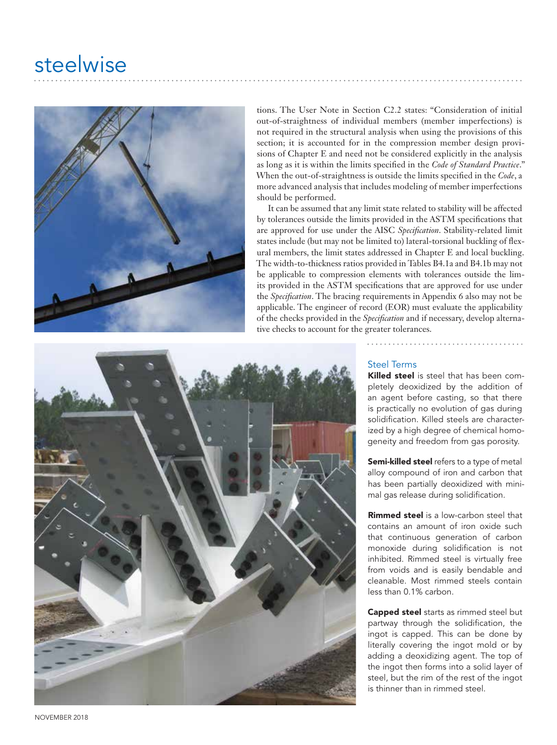# steelwise



tions. The User Note in Section C2.2 states: "Consideration of initial out-of-straightness of individual members (member imperfections) is not required in the structural analysis when using the provisions of this section; it is accounted for in the compression member design provisions of Chapter E and need not be considered explicitly in the analysis as long as it is within the limits specified in the *Code of Standard Practice*." When the out-of-straightness is outside the limits specified in the *Code*, a more advanced analysis that includes modeling of member imperfections should be performed.

It can be assumed that any limit state related to stability will be affected by tolerances outside the limits provided in the ASTM specifications that are approved for use under the AISC *Specification*. Stability-related limit states include (but may not be limited to) lateral-torsional buckling of flexural members, the limit states addressed in Chapter E and local buckling. The width-to-thickness ratios provided in Tables B4.1a and B4.1b may not be applicable to compression elements with tolerances outside the limits provided in the ASTM specifications that are approved for use under the *Specification*. The bracing requirements in Appendix 6 also may not be applicable. The engineer of record (EOR) must evaluate the applicability of the checks provided in the *Specification* and if necessary, develop alternative checks to account for the greater tolerances.



## Steel Terms

. . . . . . . . . . . .

Killed steel is steel that has been completely deoxidized by the addition of an agent before casting, so that there is practically no evolution of gas during solidification. Killed steels are characterized by a high degree of chemical homogeneity and freedom from gas porosity.

Semi-killed steel refers to a type of metal alloy compound of iron and carbon that has been partially deoxidized with minimal gas release during solidification.

Rimmed steel is a low-carbon steel that contains an amount of iron oxide such that continuous generation of carbon monoxide during solidification is not inhibited. Rimmed steel is virtually free from voids and is easily bendable and cleanable. Most rimmed steels contain less than 0.1% carbon.

Capped steel starts as rimmed steel but partway through the solidification, the ingot is capped. This can be done by literally covering the ingot mold or by adding a deoxidizing agent. The top of the ingot then forms into a solid layer of steel, but the rim of the rest of the ingot is thinner than in rimmed steel.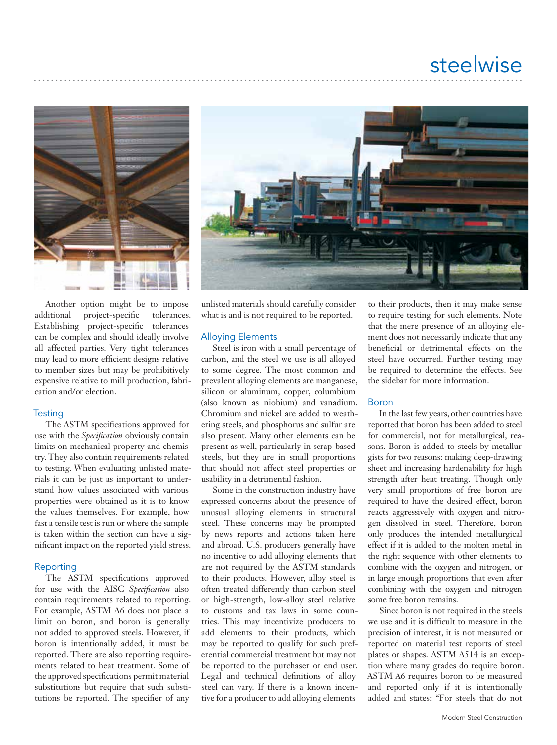



Another option might be to impose additional project-specific tolerances. Establishing project-specific tolerances can be complex and should ideally involve all affected parties. Very tight tolerances may lead to more efficient designs relative to member sizes but may be prohibitively expensive relative to mill production, fabrication and/or election.

#### **Testing**

The ASTM specifications approved for use with the *Specification* obviously contain limits on mechanical property and chemistry. They also contain requirements related to testing. When evaluating unlisted materials it can be just as important to understand how values associated with various properties were obtained as it is to know the values themselves. For example, how fast a tensile test is run or where the sample is taken within the section can have a significant impact on the reported yield stress.

#### Reporting

The ASTM specifications approved for use with the AISC *Specification* also contain requirements related to reporting. For example, ASTM A6 does not place a limit on boron, and boron is generally not added to approved steels. However, if boron is intentionally added, it must be reported. There are also reporting requirements related to heat treatment. Some of the approved specifications permit material substitutions but require that such substitutions be reported. The specifier of any

unlisted materials should carefully consider what is and is not required to be reported.

#### Alloying Elements

Steel is iron with a small percentage of carbon, and the steel we use is all alloyed to some degree. The most common and prevalent alloying elements are manganese, silicon or aluminum, copper, columbium (also known as niobium) and vanadium. Chromium and nickel are added to weathering steels, and phosphorus and sulfur are also present. Many other elements can be present as well, particularly in scrap-based steels, but they are in small proportions that should not affect steel properties or usability in a detrimental fashion.

Some in the construction industry have expressed concerns about the presence of unusual alloying elements in structural steel. These concerns may be prompted by news reports and actions taken here and abroad. U.S. producers generally have no incentive to add alloying elements that are not required by the ASTM standards to their products. However, alloy steel is often treated differently than carbon steel or high-strength, low-alloy steel relative to customs and tax laws in some countries. This may incentivize producers to add elements to their products, which may be reported to qualify for such preferential commercial treatment but may not be reported to the purchaser or end user. Legal and technical definitions of alloy steel can vary. If there is a known incentive for a producer to add alloying elements

to their products, then it may make sense to require testing for such elements. Note that the mere presence of an alloying element does not necessarily indicate that any beneficial or detrimental effects on the steel have occurred. Further testing may be required to determine the effects. See the sidebar for more information.

## Boron

In the last few years, other countries have reported that boron has been added to steel for commercial, not for metallurgical, reasons. Boron is added to steels by metallurgists for two reasons: making deep-drawing sheet and increasing hardenability for high strength after heat treating. Though only very small proportions of free boron are required to have the desired effect, boron reacts aggressively with oxygen and nitrogen dissolved in steel. Therefore, boron only produces the intended metallurgical effect if it is added to the molten metal in the right sequence with other elements to combine with the oxygen and nitrogen, or in large enough proportions that even after combining with the oxygen and nitrogen some free boron remains.

Since boron is not required in the steels we use and it is difficult to measure in the precision of interest, it is not measured or reported on material test reports of steel plates or shapes. ASTM A514 is an exception where many grades do require boron. ASTM A6 requires boron to be measured and reported only if it is intentionally added and states: "For steels that do not